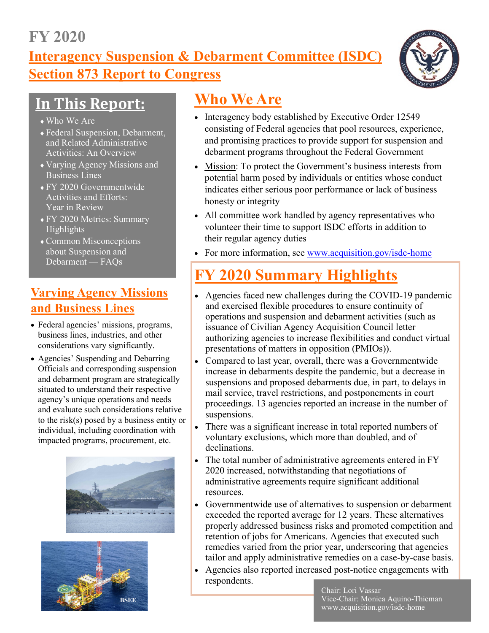## **FY 2020**

**Interagency Suspension & Debarment Committee (ISDC) Section 873 Report to Congress**



# **In This Report:**

- Who We Are
- Federal Suspension, Debarment, and Related Administrative Activities: An Overview
- Varying Agency Missions and Business Lines
- FY 2020 Governmentwide Activities and Efforts: Year in Review
- FY 2020 Metrics: Summary Highlights
- Common Misconceptions about Suspension and Debarment — FAQs

## **Varying Agency Missions and Business Lines**

- Federal agencies' missions, programs, business lines, industries, and other considerations vary significantly.
- Agencies' Suspending and Debarring Officials and corresponding suspension and debarment program are strategically situated to understand their respective agency's unique operations and needs and evaluate such considerations relative to the risk(s) posed by a business entity or individual, including coordination with impacted programs, procurement, etc.





# **Who We Are**

- Interagency body established by Executive Order 12549 consisting of Federal agencies that pool resources, experience, and promising practices to provide support for suspension and debarment programs throughout the Federal Government
- Mission: To protect the Government's business interests from potential harm posed by individuals or entities whose conduct indicates either serious poor performance or lack of business honesty or integrity
- All committee work handled by agency representatives who volunteer their time to support ISDC efforts in addition to their regular agency duties
- For more information, see [www.acquisition.gov/isdc](http://www.acquisition.gov/isdc-home)-home

# **FY 2020 Summary Highlights**

- Agencies faced new challenges during the COVID-19 pandemic and exercised flexible procedures to ensure continuity of operations and suspension and debarment activities (such as issuance of Civilian Agency Acquisition Council letter authorizing agencies to increase flexibilities and conduct virtual presentations of matters in opposition (PMIOs)).
- Compared to last year, overall, there was a Governmentwide increase in debarments despite the pandemic, but a decrease in suspensions and proposed debarments due, in part, to delays in mail service, travel restrictions, and postponements in court proceedings. 13 agencies reported an increase in the number of suspensions.
- There was a significant increase in total reported numbers of voluntary exclusions, which more than doubled, and of declinations.
- The total number of administrative agreements entered in FY 2020 increased, notwithstanding that negotiations of administrative agreements require significant additional resources.
- Governmentwide use of alternatives to suspension or debarment exceeded the reported average for 12 years. These alternatives properly addressed business risks and promoted competition and retention of jobs for Americans. Agencies that executed such remedies varied from the prior year, underscoring that agencies tailor and apply administrative remedies on a case-by-case basis.
- Agencies also reported increased post-notice engagements with respondents.

Chair: Lori Vassar Vice-Chair: Monica Aquino-Thieman www.acquisition.gov/isdc-home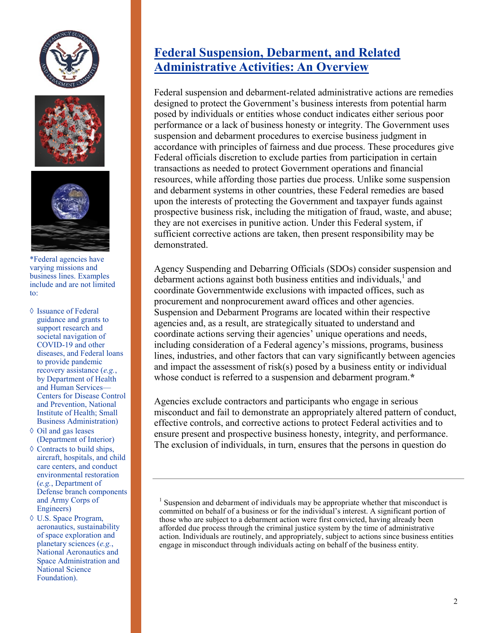





\*Federal agencies have varying missions and business lines. Examples include and are not limited to:

- $\Diamond$  Issuance of Federal guidance and grants to support research and societal navigation of COVID-19 and other diseases, and Federal loans to provide pandemic recovery assistance (*e.g.*, by Department of Health and Human Services— Centers for Disease Control and Prevention, National Institute of Health; Small Business Administration)
- $\Diamond$  Oil and gas leases (Department of Interior)
- $\Diamond$  Contracts to build ships, aircraft, hospitals, and child care centers, and conduct environmental restoration (*e.g.*, Department of Defense branch components and Army Corps of Engineers)
- U.S. Space Program, aeronautics, sustainability of space exploration and planetary sciences (*e.g.*, National Aeronautics and Space Administration and National Science Foundation).

## **Federal Suspension, Debarment, and Related Administrative Activities: An Overview**

Federal suspension and debarment-related administrative actions are remedies designed to protect the Government's business interests from potential harm posed by individuals or entities whose conduct indicates either serious poor performance or a lack of business honesty or integrity. The Government uses suspension and debarment procedures to exercise business judgment in accordance with principles of fairness and due process. These procedures give Federal officials discretion to exclude parties from participation in certain transactions as needed to protect Government operations and financial resources, while affording those parties due process. Unlike some suspension and debarment systems in other countries, these Federal remedies are based upon the interests of protecting the Government and taxpayer funds against prospective business risk, including the mitigation of fraud, waste, and abuse; they are not exercises in punitive action. Under this Federal system, if sufficient corrective actions are taken, then present responsibility may be demonstrated.

Agency Suspending and Debarring Officials (SDOs) consider suspension and debarment actions against both business entities and individuals,<sup>1</sup> and coordinate Governmentwide exclusions with impacted offices, such as procurement and nonprocurement award offices and other agencies. Suspension and Debarment Programs are located within their respective agencies and, as a result, are strategically situated to understand and coordinate actions serving their agencies' unique operations and needs, including consideration of a Federal agency's missions, programs, business lines, industries, and other factors that can vary significantly between agencies and impact the assessment of risk(s) posed by a business entity or individual whose conduct is referred to a suspension and debarment program.**\***

Agencies exclude contractors and participants who engage in serious misconduct and fail to demonstrate an appropriately altered pattern of conduct, effective controls, and corrective actions to protect Federal activities and to ensure present and prospective business honesty, integrity, and performance. The exclusion of individuals, in turn, ensures that the persons in question do

<sup>&</sup>lt;sup>1</sup> Suspension and debarment of individuals may be appropriate whether that misconduct is committed on behalf of a business or for the individual's interest. A significant portion of those who are subject to a debarment action were first convicted, having already been afforded due process through the criminal justice system by the time of administrative action. Individuals are routinely, and appropriately, subject to actions since business entities engage in misconduct through individuals acting on behalf of the business entity.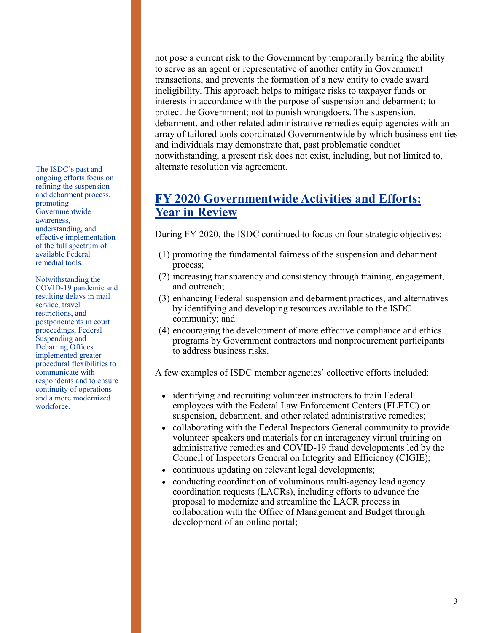The ISDC's past and ongoing efforts focus on refining the suspension and debarment process, promoting Governmentwide awareness, understanding, and effective implementation of the full spectrum of available Federal remedial tools.

Notwithstanding the COVID-19 pandemic and resulting delays in mail service, travel restrictions, and postponements in court proceedings, Federal Suspending and Debarring Offices implemented greater procedural flexibilities to communicate with respondents and to ensure continuity of operations and a more modernized workforce.

not pose a current risk to the Government by temporarily barring the ability to serve as an agent or representative of another entity in Government transactions, and prevents the formation of a new entity to evade award ineligibility. This approach helps to mitigate risks to taxpayer funds or interests in accordance with the purpose of suspension and debarment: to protect the Government; not to punish wrongdoers. The suspension, debarment, and other related administrative remedies equip agencies with an array of tailored tools coordinated Governmentwide by which business entities and individuals may demonstrate that, past problematic conduct notwithstanding, a present risk does not exist, including, but not limited to, alternate resolution via agreement.

### **FY 2020 Governmentwide Activities and Efforts: Year in Review**

During FY 2020, the ISDC continued to focus on four strategic objectives:

- (1) promoting the fundamental fairness of the suspension and debarment process;
- (2) increasing transparency and consistency through training, engagement, and outreach;
- (3) enhancing Federal suspension and debarment practices, and alternatives by identifying and developing resources available to the ISDC community; and
- (4) encouraging the development of more effective compliance and ethics programs by Government contractors and nonprocurement participants to address business risks.

A few examples of ISDC member agencies' collective efforts included:

- identifying and recruiting volunteer instructors to train Federal employees with the Federal Law Enforcement Centers (FLETC) on suspension, debarment, and other related administrative remedies;
- collaborating with the Federal Inspectors General community to provide volunteer speakers and materials for an interagency virtual training on administrative remedies and COVID-19 fraud developments led by the Council of Inspectors General on Integrity and Efficiency (CIGIE);
- continuous updating on relevant legal developments;
- conducting coordination of voluminous multi-agency lead agency coordination requests (LACRs), including efforts to advance the proposal to modernize and streamline the LACR process in collaboration with the Office of Management and Budget through development of an online portal;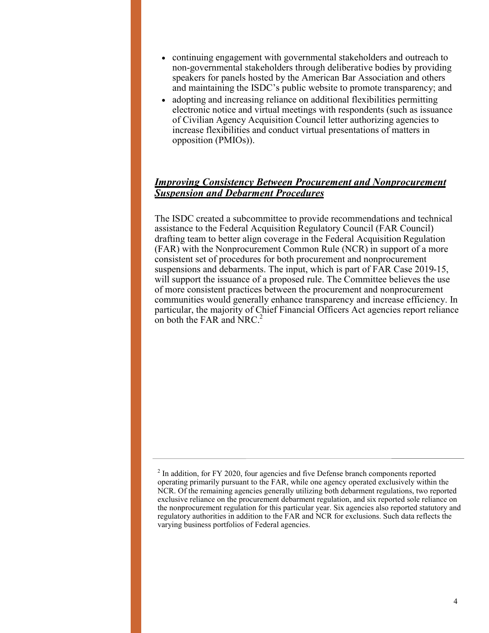- continuing engagement with governmental stakeholders and outreach to non-governmental stakeholders through deliberative bodies by providing speakers for panels hosted by the American Bar Association and others and maintaining the ISDC's public website to promote transparency; and
- adopting and increasing reliance on additional flexibilities permitting electronic notice and virtual meetings with respondents (such as issuance of Civilian Agency Acquisition Council letter authorizing agencies to increase flexibilities and conduct virtual presentations of matters in opposition (PMIOs)).

#### *Improving Consistency Between Procurement and Nonprocurement Suspension and Debarment Procedures*

The ISDC created a subcommittee to provide recommendations and technical assistance to the Federal Acquisition Regulatory Council (FAR Council) drafting team to better align coverage in the Federal Acquisition Regulation (FAR) with the Nonprocurement Common Rule (NCR) in support of a more consistent set of procedures for both procurement and nonprocurement suspensions and debarments. The input, which is part of FAR Case 2019-15, will support the issuance of a proposed rule. The Committee believes the use of more consistent practices between the procurement and nonprocurement communities would generally enhance transparency and increase efficiency. In particular, the majority of Chief Financial Officers Act agencies report reliance on both the FAR and NRC.<sup>2</sup>

 $2$  In addition, for FY 2020, four agencies and five Defense branch components reported operating primarily pursuant to the FAR, while one agency operated exclusively within the NCR. Of the remaining agencies generally utilizing both debarment regulations, two reported exclusive reliance on the procurement debarment regulation, and six reported sole reliance on the nonprocurement regulation for this particular year. Six agencies also reported statutory and regulatory authorities in addition to the FAR and NCR for exclusions. Such data reflects the varying business portfolios of Federal agencies.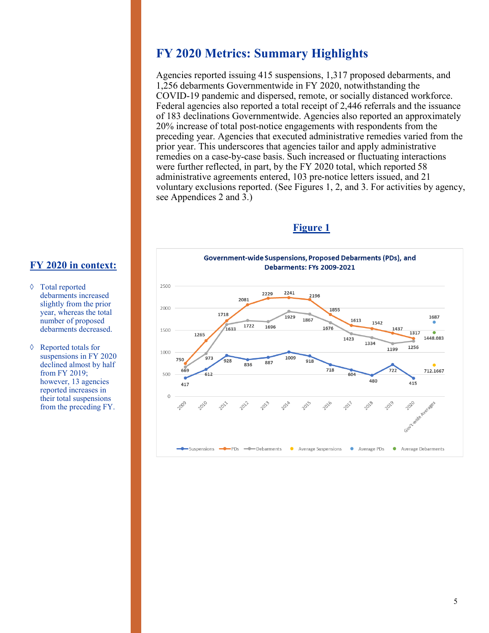### **FY 2020 Metrics: Summary Highlights**

Agencies reported issuing 415 suspensions, 1,317 proposed debarments, and 1,256 debarments Governmentwide in FY 2020, notwithstanding the COVID-19 pandemic and dispersed, remote, or socially distanced workforce. Federal agencies also reported a total receipt of 2,446 referrals and the issuance of 183 declinations Governmentwide. Agencies also reported an approximately 20% increase of total post-notice engagements with respondents from the preceding year. Agencies that executed administrative remedies varied from the prior year. This underscores that agencies tailor and apply administrative remedies on a case-by-case basis. Such increased or fluctuating interactions were further reflected, in part, by the FY 2020 total, which reported 58 administrative agreements entered, 103 pre-notice letters issued, and 21 voluntary exclusions reported. (See Figures 1, 2, and 3. For activities by agency, see Appendices 2 and 3.)





#### **FY 2020 in context:**

- Total reported debarments increased slightly from the prior year, whereas the total number of proposed debarments decreased.
- Reported totals for suspensions in FY 2020 declined almost by half from FY 2019; however, 13 agencies reported increases in their total suspensions from the preceding FY.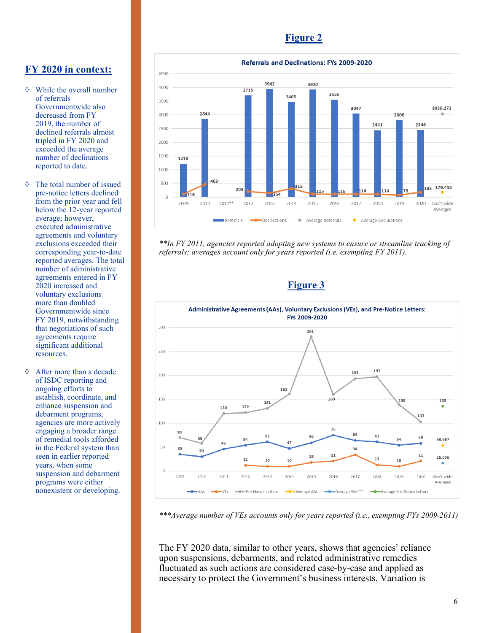#### **Figure 2**



- While the overall number of referrals Governmentwide also decreased from FY 2019, the number of declined referrals almost tripled in FY 2020 and exceeded the average number of declinations reported to date.
- The total number of issued pre-notice letters declined from the prior year and fell below the 12-year reported average; however, executed administrative agreements and voluntary exclusions exceeded their corresponding year-to-date reported averages. The total number of administrative agreements entered in FY 2020 increased and voluntary exclusions more than doubled Governmentwide since FY 2019, notwithstanding that negotiations of such agreements require significant additional resources.
- After more than a decade of ISDC reporting and ongoing efforts to establish, coordinate, and enhance suspension and debarment programs, agencies are more actively engaging a broader range of remedial tools afforded in the Federal system than seen in earlier reported years, when some suspension and debarment programs were either nonexistent or developing.



*\*\*In FY 2011, agencies reported adopting new systems to ensure or streamline tracking of referrals; averages account only for years reported (i.e. exempting FY 2011).*

#### **Figure 3**



*\*\*\*Average number of VEs accounts only for years reported (i.e., exempting FYs 2009-2011)*

The FY 2020 data, similar to other years, shows that agencies' reliance upon suspensions, debarments, and related administrative remedies fluctuated as such actions are considered case-by-case and applied as necessary to protect the Government's business interests. Variation is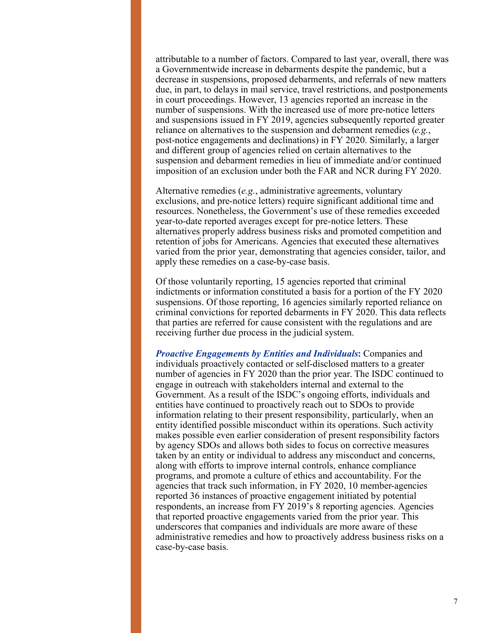attributable to a number of factors. Compared to last year, overall, there was a Governmentwide increase in debarments despite the pandemic, but a decrease in suspensions, proposed debarments, and referrals of new matters due, in part, to delays in mail service, travel restrictions, and postponements in court proceedings. However, 13 agencies reported an increase in the number of suspensions. With the increased use of more pre-notice letters and suspensions issued in FY 2019, agencies subsequently reported greater reliance on alternatives to the suspension and debarment remedies (*e.g.*, post-notice engagements and declinations) in FY 2020. Similarly, a larger and different group of agencies relied on certain alternatives to the suspension and debarment remedies in lieu of immediate and/or continued imposition of an exclusion under both the FAR and NCR during FY 2020.

Alternative remedies (*e.g.*, administrative agreements, voluntary exclusions, and pre-notice letters) require significant additional time and resources. Nonetheless, the Government's use of these remedies exceeded year-to-date reported averages except for pre-notice letters. These alternatives properly address business risks and promoted competition and retention of jobs for Americans. Agencies that executed these alternatives varied from the prior year, demonstrating that agencies consider, tailor, and apply these remedies on a case-by-case basis.

Of those voluntarily reporting, 15 agencies reported that criminal indictments or information constituted a basis for a portion of the FY 2020 suspensions. Of those reporting, 16 agencies similarly reported reliance on criminal convictions for reported debarments in FY 2020. This data reflects that parties are referred for cause consistent with the regulations and are receiving further due process in the judicial system.

*Proactive Engagements by Entities and Individuals***:** Companies and individuals proactively contacted or self-disclosed matters to a greater number of agencies in FY 2020 than the prior year. The ISDC continued to engage in outreach with stakeholders internal and external to the Government. As a result of the ISDC's ongoing efforts, individuals and entities have continued to proactively reach out to SDOs to provide information relating to their present responsibility, particularly, when an entity identified possible misconduct within its operations. Such activity makes possible even earlier consideration of present responsibility factors by agency SDOs and allows both sides to focus on corrective measures taken by an entity or individual to address any misconduct and concerns, along with efforts to improve internal controls, enhance compliance programs, and promote a culture of ethics and accountability. For the agencies that track such information, in FY 2020, 10 member-agencies reported 36 instances of proactive engagement initiated by potential respondents, an increase from FY 2019's 8 reporting agencies. Agencies that reported proactive engagements varied from the prior year. This underscores that companies and individuals are more aware of these administrative remedies and how to proactively address business risks on a case-by-case basis.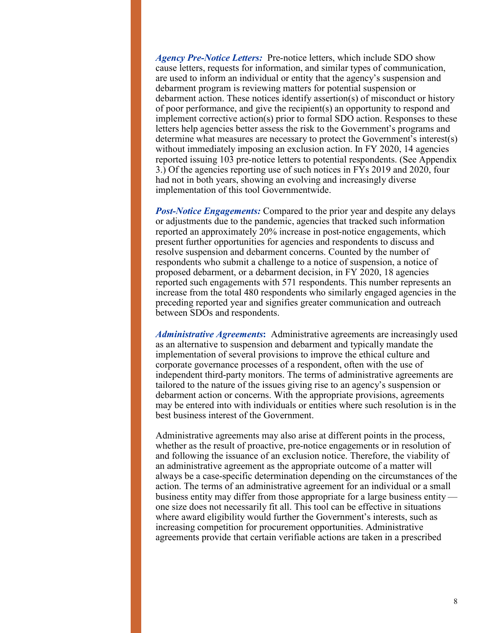*Agency Pre-Notice Letters:* Pre-notice letters, which include SDO show cause letters, requests for information, and similar types of communication, are used to inform an individual or entity that the agency's suspension and debarment program is reviewing matters for potential suspension or debarment action. These notices identify assertion(s) of misconduct or history of poor performance, and give the recipient(s) an opportunity to respond and implement corrective action(s) prior to formal SDO action. Responses to these letters help agencies better assess the risk to the Government's programs and determine what measures are necessary to protect the Government's interest(s) without immediately imposing an exclusion action. In FY 2020, 14 agencies reported issuing 103 pre-notice letters to potential respondents. (See Appendix 3.) Of the agencies reporting use of such notices in FYs 2019 and 2020, four had not in both years, showing an evolving and increasingly diverse implementation of this tool Governmentwide.

*Post-Notice Engagements:* Compared to the prior year and despite any delays or adjustments due to the pandemic, agencies that tracked such information reported an approximately 20% increase in post-notice engagements, which present further opportunities for agencies and respondents to discuss and resolve suspension and debarment concerns. Counted by the number of respondents who submit a challenge to a notice of suspension, a notice of proposed debarment, or a debarment decision, in FY 2020, 18 agencies reported such engagements with 571 respondents. This number represents an increase from the total 480 respondents who similarly engaged agencies in the preceding reported year and signifies greater communication and outreach between SDOs and respondents.

*Administrative Agreements***:** Administrative agreements are increasingly used as an alternative to suspension and debarment and typically mandate the implementation of several provisions to improve the ethical culture and corporate governance processes of a respondent, often with the use of independent third-party monitors. The terms of administrative agreements are tailored to the nature of the issues giving rise to an agency's suspension or debarment action or concerns. With the appropriate provisions, agreements may be entered into with individuals or entities where such resolution is in the best business interest of the Government.

Administrative agreements may also arise at different points in the process, whether as the result of proactive, pre-notice engagements or in resolution of and following the issuance of an exclusion notice. Therefore, the viability of an administrative agreement as the appropriate outcome of a matter will always be a case-specific determination depending on the circumstances of the action. The terms of an administrative agreement for an individual or a small business entity may differ from those appropriate for a large business entity one size does not necessarily fit all. This tool can be effective in situations where award eligibility would further the Government's interests, such as increasing competition for procurement opportunities. Administrative agreements provide that certain verifiable actions are taken in a prescribed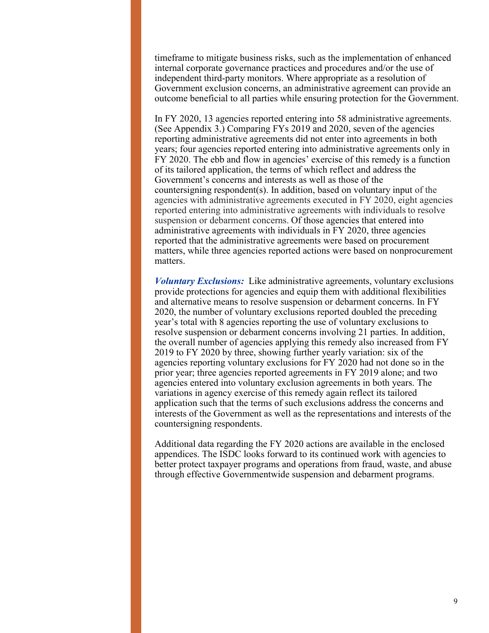timeframe to mitigate business risks, such as the implementation of enhanced internal corporate governance practices and procedures and/or the use of independent third-party monitors. Where appropriate as a resolution of Government exclusion concerns, an administrative agreement can provide an outcome beneficial to all parties while ensuring protection for the Government.

In FY 2020, 13 agencies reported entering into 58 administrative agreements. (See Appendix 3.) Comparing FYs 2019 and 2020, seven of the agencies reporting administrative agreements did not enter into agreements in both years; four agencies reported entering into administrative agreements only in FY 2020. The ebb and flow in agencies' exercise of this remedy is a function of its tailored application, the terms of which reflect and address the Government's concerns and interests as well as those of the countersigning respondent(s). In addition, based on voluntary input of the agencies with administrative agreements executed in FY 2020, eight agencies reported entering into administrative agreements with individuals to resolve suspension or debarment concerns. Of those agencies that entered into administrative agreements with individuals in FY 2020, three agencies reported that the administrative agreements were based on procurement matters, while three agencies reported actions were based on nonprocurement matters.

*Voluntary Exclusions:*Like administrative agreements, voluntary exclusions provide protections for agencies and equip them with additional flexibilities and alternative means to resolve suspension or debarment concerns. In FY 2020, the number of voluntary exclusions reported doubled the preceding year's total with 8 agencies reporting the use of voluntary exclusions to resolve suspension or debarment concerns involving 21 parties. In addition, the overall number of agencies applying this remedy also increased from FY 2019 to FY 2020 by three, showing further yearly variation: six of the agencies reporting voluntary exclusions for FY 2020 had not done so in the prior year; three agencies reported agreements in FY 2019 alone; and two agencies entered into voluntary exclusion agreements in both years. The variations in agency exercise of this remedy again reflect its tailored application such that the terms of such exclusions address the concerns and interests of the Government as well as the representations and interests of the countersigning respondents.

Additional data regarding the FY 2020 actions are available in the enclosed appendices. The ISDC looks forward to its continued work with agencies to better protect taxpayer programs and operations from fraud, waste, and abuse through effective Governmentwide suspension and debarment programs.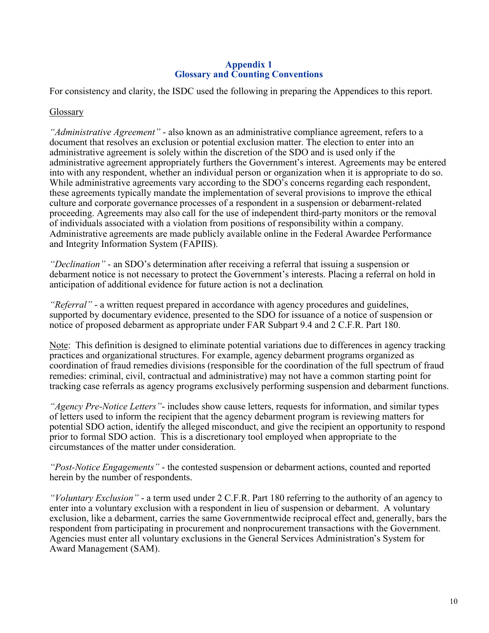#### **Appendix 1 Glossary and Counting Conventions**

For consistency and clarity, the ISDC used the following in preparing the Appendices to this report.

#### Glossary

*"Administrative Agreement"* - also known as an administrative compliance agreement, refers to a document that resolves an exclusion or potential exclusion matter. The election to enter into an administrative agreement is solely within the discretion of the SDO and is used only if the administrative agreement appropriately furthers the Government's interest. Agreements may be entered into with any respondent, whether an individual person or organization when it is appropriate to do so. While administrative agreements vary according to the SDO's concerns regarding each respondent, these agreements typically mandate the implementation of several provisions to improve the ethical culture and corporate governance processes of a respondent in a suspension or debarment-related proceeding. Agreements may also call for the use of independent third-party monitors or the removal of individuals associated with a violation from positions of responsibility within a company. Administrative agreements are made publicly available online in the Federal Awardee Performance and Integrity Information System (FAPIIS).

*"Declination"* - an SDO's determination after receiving a referral that issuing a suspension or debarment notice is not necessary to protect the Government's interests. Placing a referral on hold in anticipation of additional evidence for future action is not a declination*.*

*"Referral"* - a written request prepared in accordance with agency procedures and guidelines, supported by documentary evidence, presented to the SDO for issuance of a notice of suspension or notice of proposed debarment as appropriate under FAR Subpart 9.4 and 2 C.F.R. Part 180.

Note: This definition is designed to eliminate potential variations due to differences in agency tracking practices and organizational structures. For example, agency debarment programs organized as coordination of fraud remedies divisions (responsible for the coordination of the full spectrum of fraud remedies: criminal, civil, contractual and administrative) may not have a common starting point for tracking case referrals as agency programs exclusively performing suspension and debarment functions.

*"Agency Pre-Notice Letters"*- includes show cause letters, requests for information, and similar types of letters used to inform the recipient that the agency debarment program is reviewing matters for potential SDO action, identify the alleged misconduct, and give the recipient an opportunity to respond prior to formal SDO action. This is a discretionary tool employed when appropriate to the circumstances of the matter under consideration.

*"Post-Notice Engagements"* - the contested suspension or debarment actions, counted and reported herein by the number of respondents.

*"Voluntary Exclusion"* - a term used under 2 C.F.R. Part 180 referring to the authority of an agency to enter into a voluntary exclusion with a respondent in lieu of suspension or debarment. A voluntary exclusion, like a debarment, carries the same Governmentwide reciprocal effect and, generally, bars the respondent from participating in procurement and nonprocurement transactions with the Government. Agencies must enter all voluntary exclusions in the General Services Administration's System for Award Management (SAM).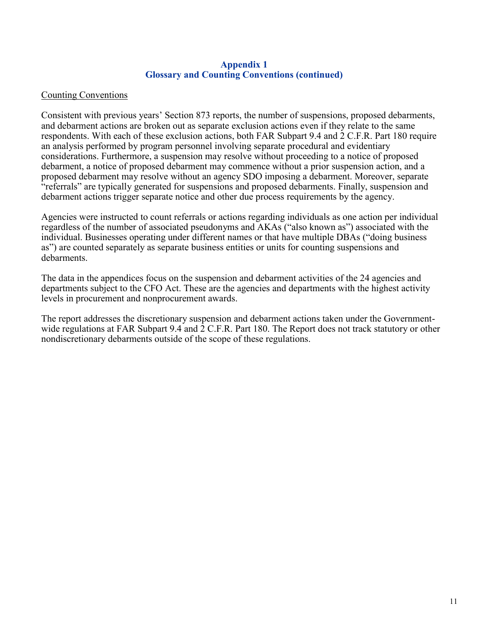#### **Appendix 1 Glossary and Counting Conventions (continued)**

#### Counting Conventions

Consistent with previous years' Section 873 reports, the number of suspensions, proposed debarments, and debarment actions are broken out as separate exclusion actions even if they relate to the same respondents. With each of these exclusion actions, both FAR Subpart 9.4 and 2 C.F.R. Part 180 require an analysis performed by program personnel involving separate procedural and evidentiary considerations. Furthermore, a suspension may resolve without proceeding to a notice of proposed debarment, a notice of proposed debarment may commence without a prior suspension action, and a proposed debarment may resolve without an agency SDO imposing a debarment. Moreover, separate "referrals" are typically generated for suspensions and proposed debarments. Finally, suspension and debarment actions trigger separate notice and other due process requirements by the agency.

Agencies were instructed to count referrals or actions regarding individuals as one action per individual regardless of the number of associated pseudonyms and AKAs ("also known as") associated with the individual. Businesses operating under different names or that have multiple DBAs ("doing business as") are counted separately as separate business entities or units for counting suspensions and debarments.

The data in the appendices focus on the suspension and debarment activities of the 24 agencies and departments subject to the CFO Act. These are the agencies and departments with the highest activity levels in procurement and nonprocurement awards.

The report addresses the discretionary suspension and debarment actions taken under the Governmentwide regulations at FAR Subpart 9.4 and 2 C.F.R. Part 180. The Report does not track statutory or other nondiscretionary debarments outside of the scope of these regulations.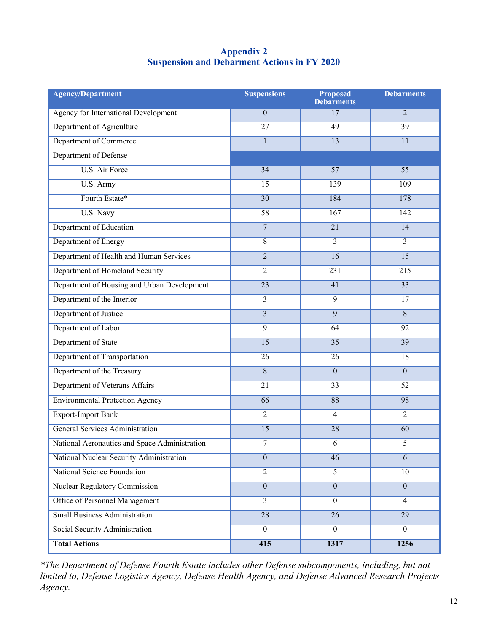#### **Appendix 2 Suspension and Debarment Actions in FY 2020**

| <b>Agency/Department</b>                      | <b>Suspensions</b> | <b>Proposed</b><br><b>Debarments</b> | <b>Debarments</b> |
|-----------------------------------------------|--------------------|--------------------------------------|-------------------|
| Agency for International Development          | $\overline{0}$     | 17                                   | $\overline{2}$    |
| Department of Agriculture                     | $\overline{27}$    | 49                                   | 39                |
| Department of Commerce                        | $\mathbf{1}$       | $\overline{13}$                      | $\overline{11}$   |
| Department of Defense                         |                    |                                      |                   |
| <b>U.S. Air Force</b>                         | $\overline{34}$    | $\overline{57}$                      | $\overline{55}$   |
| U.S. Army                                     | $\overline{15}$    | 139                                  | 109               |
| Fourth Estate*                                | $\overline{30}$    | 184                                  | 178               |
| U.S. Navy                                     | $\overline{58}$    | 167                                  | 142               |
| Department of Education                       | $\overline{7}$     | $\overline{21}$                      | 14                |
| Department of Energy                          | $\overline{8}$     | $\overline{3}$                       | $\overline{3}$    |
| Department of Health and Human Services       | $\overline{2}$     | $\overline{16}$                      | $\overline{15}$   |
| Department of Homeland Security               | $\overline{2}$     | 231                                  | 215               |
| Department of Housing and Urban Development   | $\overline{23}$    | $\overline{41}$                      | $\overline{33}$   |
| Department of the Interior                    | $\overline{3}$     | $\overline{9}$                       | 17                |
| Department of Justice                         | $\overline{3}$     | $\overline{9}$                       | $\overline{8}$    |
| Department of Labor                           | $\overline{9}$     | 64                                   | 92                |
| Department of State                           | $\overline{15}$    | $\overline{35}$                      | 39                |
| Department of Transportation                  | $\overline{26}$    | $\overline{26}$                      | $\overline{18}$   |
| Department of the Treasury                    | $\overline{8}$     | $\overline{0}$                       | $\overline{0}$    |
| Department of Veterans Affairs                | $\overline{21}$    | $\overline{33}$                      | $\overline{52}$   |
| <b>Environmental Protection Agency</b>        | $\overline{66}$    | 88                                   | 98                |
| <b>Export-Import Bank</b>                     | $\overline{2}$     | $\overline{4}$                       | $\overline{2}$    |
| <b>General Services Administration</b>        | $\overline{15}$    | $\overline{28}$                      | $\overline{60}$   |
| National Aeronautics and Space Administration | 7                  | 6                                    | 5                 |
| National Nuclear Security Administration      | $\boldsymbol{0}$   | $\overline{46}$                      | $\overline{6}$    |
| <b>National Science Foundation</b>            | $\overline{2}$     | $\overline{5}$                       | $\overline{10}$   |
| <b>Nuclear Regulatory Commission</b>          | $\overline{0}$     | $\boldsymbol{0}$                     | $\overline{0}$    |
| <b>Office of Personnel Management</b>         | $\overline{3}$     | $\boldsymbol{0}$                     | $\overline{4}$    |
| <b>Small Business Administration</b>          | 28                 | $\overline{26}$                      | 29                |
| Social Security Administration                | $\overline{0}$     | $\overline{0}$                       | $\overline{0}$    |
| <b>Total Actions</b>                          | 415                | 1317                                 | 1256              |

*\*The Department of Defense Fourth Estate includes other Defense subcomponents, including, but not limited to, Defense Logistics Agency, Defense Health Agency, and Defense Advanced Research Projects Agency.*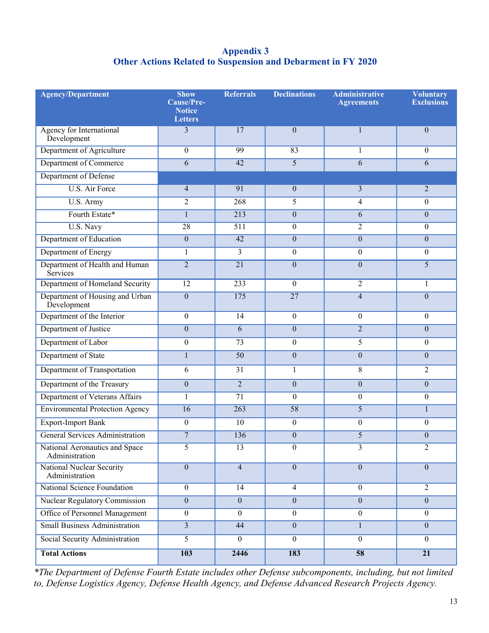#### **Appendix 3 Other Actions Related to Suspension and Debarment in FY 2020**

| <b>Agency/Department</b>                           | <b>Show</b><br>Cause/Pre-<br><b>Notice</b><br><b>Letters</b> | <b>Referrals</b> | <b>Declinations</b> | <b>Administrative</b><br><b>Agreements</b> | <b>Voluntary</b><br><b>Exclusions</b> |
|----------------------------------------------------|--------------------------------------------------------------|------------------|---------------------|--------------------------------------------|---------------------------------------|
| Agency for International<br>Development            | 3                                                            | 17               | $\mathbf{0}$        | 1                                          | $\overline{0}$                        |
| Department of Agriculture                          | $\theta$                                                     | 99               | 83                  | 1                                          | $\overline{0}$                        |
| Department of Commerce                             | 6                                                            | 42               | $\overline{5}$      | 6                                          | 6                                     |
| Department of Defense                              |                                                              |                  |                     |                                            |                                       |
| <b>U.S. Air Force</b>                              | $\overline{4}$                                               | 91               | $\mathbf{0}$        | 3                                          | $\overline{2}$                        |
| U.S. Army                                          | $\overline{c}$                                               | 268              | 5                   | 4                                          | $\boldsymbol{0}$                      |
| Fourth Estate*                                     | $\mathbf{1}$                                                 | $\overline{213}$ | $\mathbf{0}$        | 6                                          | $\overline{0}$                        |
| U.S. Navy                                          | $\overline{28}$                                              | 511              | $\boldsymbol{0}$    | $\overline{c}$                             | $\overline{0}$                        |
| Department of Education                            | $\boldsymbol{0}$                                             | 42               | $\overline{0}$      | $\boldsymbol{0}$                           | $\overline{0}$                        |
| Department of Energy                               | $\mathbf{1}$                                                 | $\overline{3}$   | $\mathbf{0}$        | $\overline{0}$                             | $\boldsymbol{0}$                      |
| Department of Health and Human<br>Services         | $\overline{2}$                                               | $\overline{21}$  | $\mathbf{0}$        | $\boldsymbol{0}$                           | 5                                     |
| Department of Homeland Security                    | $\overline{12}$                                              | 233              | $\boldsymbol{0}$    | $\overline{c}$                             | 1                                     |
| Department of Housing and Urban<br>Development     | $\boldsymbol{0}$                                             | 175              | $\overline{27}$     | $\overline{\mathbf{4}}$                    | $\overline{0}$                        |
| Department of the Interior                         | $\boldsymbol{0}$                                             | $\overline{14}$  | $\mathbf{0}$        | $\overline{0}$                             | $\overline{0}$                        |
| Department of Justice                              | $\overline{0}$                                               | 6                | $\overline{0}$      | $\overline{2}$                             | $\overline{0}$                        |
| Department of Labor                                | $\boldsymbol{0}$                                             | 73               | $\boldsymbol{0}$    | 5                                          | $\overline{0}$                        |
| Department of State                                | $\mathbf{1}$                                                 | $\overline{50}$  | $\overline{0}$      | $\boldsymbol{0}$                           | $\overline{0}$                        |
| Department of Transportation                       | 6                                                            | $\overline{31}$  | 1                   | 8                                          | $\overline{2}$                        |
| Department of the Treasury                         | $\boldsymbol{0}$                                             | $\overline{2}$   | $\overline{0}$      | $\boldsymbol{0}$                           | $\overline{0}$                        |
| Department of Veterans Affairs                     | $\mathbf{1}$                                                 | $\overline{71}$  | $\theta$            | $\boldsymbol{0}$                           | $\boldsymbol{0}$                      |
| <b>Environmental Protection Agency</b>             | $\overline{16}$                                              | 263              | $\overline{58}$     | $\overline{5}$                             | $\mathbf{1}$                          |
| <b>Export-Import Bank</b>                          | $\overline{0}$                                               | 10               | $\boldsymbol{0}$    | $\boldsymbol{0}$                           | $\boldsymbol{0}$                      |
| <b>General Services Administration</b>             | $\overline{7}$                                               | 136              | $\theta$            | 5                                          | $\overline{0}$                        |
| National Aeronautics and Space<br>Administration   | 5                                                            | 13               | $\boldsymbol{0}$    | 3                                          | 2                                     |
| <b>National Nuclear Security</b><br>Administration | $\overline{0}$                                               | $\overline{4}$   | $\overline{0}$      | $\boldsymbol{0}$                           | $\overline{0}$                        |
| <b>National Science Foundation</b>                 | $\theta$                                                     | 14               | $\overline{4}$      | $\overline{0}$                             | $\overline{2}$                        |
| <b>Nuclear Regulatory Commission</b>               | $\boldsymbol{0}$                                             | $\overline{0}$   | $\overline{0}$      | $\boldsymbol{0}$                           | $\overline{0}$                        |
| Office of Personnel Management                     | $\boldsymbol{0}$                                             | $\mathbf{0}$     | $\boldsymbol{0}$    | $\mathbf{0}$                               | $\overline{0}$                        |
| <b>Small Business Administration</b>               | $\overline{3}$                                               | 44               | $\overline{0}$      | $\mathbf{1}$                               | $\overline{0}$                        |
| Social Security Administration                     | 5                                                            | $\overline{0}$   | $\mathbf{0}$        | $\mathbf{0}$                               | $\overline{0}$                        |
| <b>Total Actions</b>                               | 103                                                          | 2446             | 183                 | 58                                         | $\overline{21}$                       |

*\*The Department of Defense Fourth Estate includes other Defense subcomponents, including, but not limited to, Defense Logistics Agency, Defense Health Agency, and Defense Advanced Research Projects Agency.*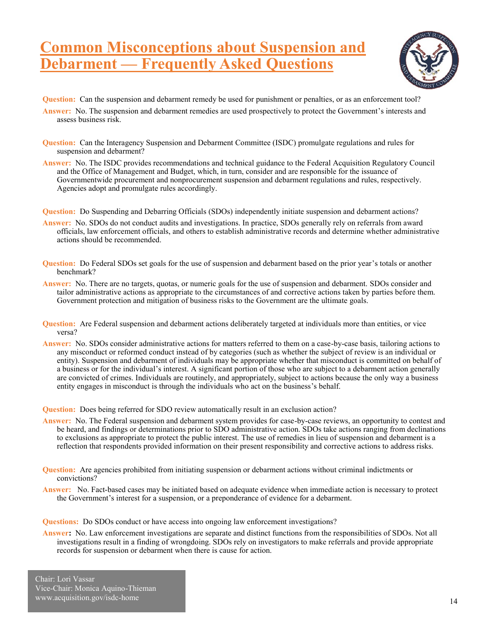## **Common Misconceptions about Suspension and Debarment — Frequently Asked Questions**



- **Question:** Can the suspension and debarment remedy be used for punishment or penalties, or as an enforcement tool?
- **Answer:** No. The suspension and debarment remedies are used prospectively to protect the Government's interests and assess business risk.
- **Question:** Can the Interagency Suspension and Debarment Committee (ISDC) promulgate regulations and rules for suspension and debarment?
- **Answer:** No. The ISDC provides recommendations and technical guidance to the Federal Acquisition Regulatory Council and the Office of Management and Budget, which, in turn, consider and are responsible for the issuance of Governmentwide procurement and nonprocurement suspension and debarment regulations and rules, respectively. Agencies adopt and promulgate rules accordingly.
- **Question:** Do Suspending and Debarring Officials (SDOs) independently initiate suspension and debarment actions?
- **Answer:** No. SDOs do not conduct audits and investigations. In practice, SDOs generally rely on referrals from award officials, law enforcement officials, and others to establish administrative records and determine whether administrative actions should be recommended.
- **Question:** Do Federal SDOs set goals for the use of suspension and debarment based on the prior year's totals or another benchmark?
- **Answer:** No. There are no targets, quotas, or numeric goals for the use of suspension and debarment. SDOs consider and tailor administrative actions as appropriate to the circumstances of and corrective actions taken by parties before them. Government protection and mitigation of business risks to the Government are the ultimate goals.
- **Question:** Are Federal suspension and debarment actions deliberately targeted at individuals more than entities, or vice versa?
- **Answer:** No. SDOs consider administrative actions for matters referred to them on a case-by-case basis, tailoring actions to any misconduct or reformed conduct instead of by categories (such as whether the subject of review is an individual or entity). Suspension and debarment of individuals may be appropriate whether that misconduct is committed on behalf of a business or for the individual's interest. A significant portion of those who are subject to a debarment action generally are convicted of crimes. Individuals are routinely, and appropriately, subject to actions because the only way a business entity engages in misconduct is through the individuals who act on the business's behalf.

**Question:** Does being referred for SDO review automatically result in an exclusion action?

- **Answer:** No. The Federal suspension and debarment system provides for case-by-case reviews, an opportunity to contest and be heard, and findings or determinations prior to SDO administrative action. SDOs take actions ranging from declinations to exclusions as appropriate to protect the public interest. The use of remedies in lieu of suspension and debarment is a reflection that respondents provided information on their present responsibility and corrective actions to address risks.
- **Question:** Are agencies prohibited from initiating suspension or debarment actions without criminal indictments or convictions?
- **Answer:** No. Fact-based cases may be initiated based on adequate evidence when immediate action is necessary to protect the Government's interest for a suspension, or a preponderance of evidence for a debarment.

**Questions:** Do SDOs conduct or have access into ongoing law enforcement investigations?

**Answer:** No. Law enforcement investigations are separate and distinct functions from the responsibilities of SDOs. Not all investigations result in a finding of wrongdoing. SDOs rely on investigators to make referrals and provide appropriate records for suspension or debarment when there is cause for action.

Chair: Lori Vassar Vice-Chair: Monica Aquino-Thieman www.acquisition.gov/isdc-home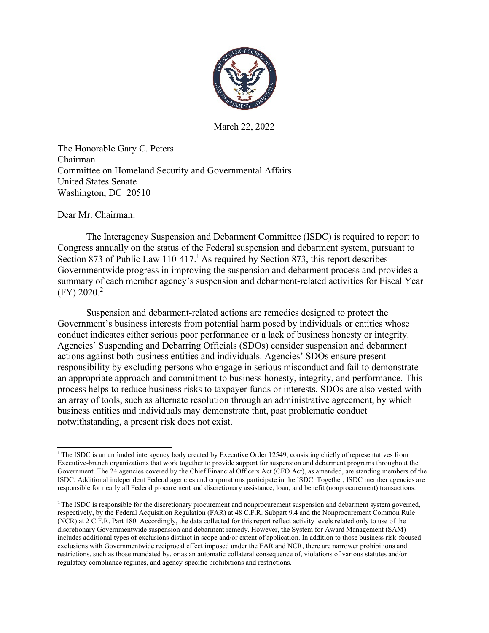

March 22, 2022

The Honorable Gary C. Peters Chairman Committee on Homeland Security and Governmental Affairs United States Senate Washington, DC 20510

Dear Mr. Chairman:

The Interagency Suspension and Debarment Committee (ISDC) is required to report to Congress annually on the status of the Federal suspension and debarment system, pursuant to Section 873 of Public Law [1](#page-14-0)10-417.<sup>1</sup> As required by Section 873, this report describes Governmentwide progress in improving the suspension and debarment process and provides a summary of each member agency's suspension and debarment-related activities for Fiscal Year  $(FY)$  2020.<sup>2</sup>

Suspension and debarment-related actions are remedies designed to protect the Government's business interests from potential harm posed by individuals or entities whose conduct indicates either serious poor performance or a lack of business honesty or integrity. Agencies' Suspending and Debarring Officials (SDOs) consider suspension and debarment actions against both business entities and individuals. Agencies' SDOs ensure present responsibility by excluding persons who engage in serious misconduct and fail to demonstrate an appropriate approach and commitment to business honesty, integrity, and performance. This process helps to reduce business risks to taxpayer funds or interests. SDOs are also vested with an array of tools, such as alternate resolution through an administrative agreement, by which business entities and individuals may demonstrate that, past problematic conduct notwithstanding, a present risk does not exist.

<span id="page-14-0"></span><sup>&</sup>lt;sup>1</sup> The ISDC is an unfunded interagency body created by Executive Order 12549, consisting chiefly of representatives from Executive-branch organizations that work together to provide support for suspension and debarment programs throughout the Government. The 24 agencies covered by the Chief Financial Officers Act (CFO Act), as amended, are standing members of the ISDC. Additional independent Federal agencies and corporations participate in the ISDC. Together, ISDC member agencies are responsible for nearly all Federal procurement and discretionary assistance, loan, and benefit (nonprocurement) transactions.

<span id="page-14-1"></span><sup>&</sup>lt;sup>2</sup> The ISDC is responsible for the discretionary procurement and nonprocurement suspension and debarment system governed, respectively, by the Federal Acquisition Regulation (FAR) at 48 C.F.R. Subpart 9.4 and the Nonprocurement Common Rule (NCR) at 2 C.F.R. Part 180. Accordingly, the data collected for this report reflect activity levels related only to use of the discretionary Governmentwide suspension and debarment remedy. However, the System for Award Management (SAM) includes additional types of exclusions distinct in scope and/or extent of application. In addition to those business risk-focused exclusions with Governmentwide reciprocal effect imposed under the FAR and NCR, there are narrower prohibitions and restrictions, such as those mandated by, or as an automatic collateral consequence of, violations of various statutes and/or regulatory compliance regimes, and agency-specific prohibitions and restrictions.